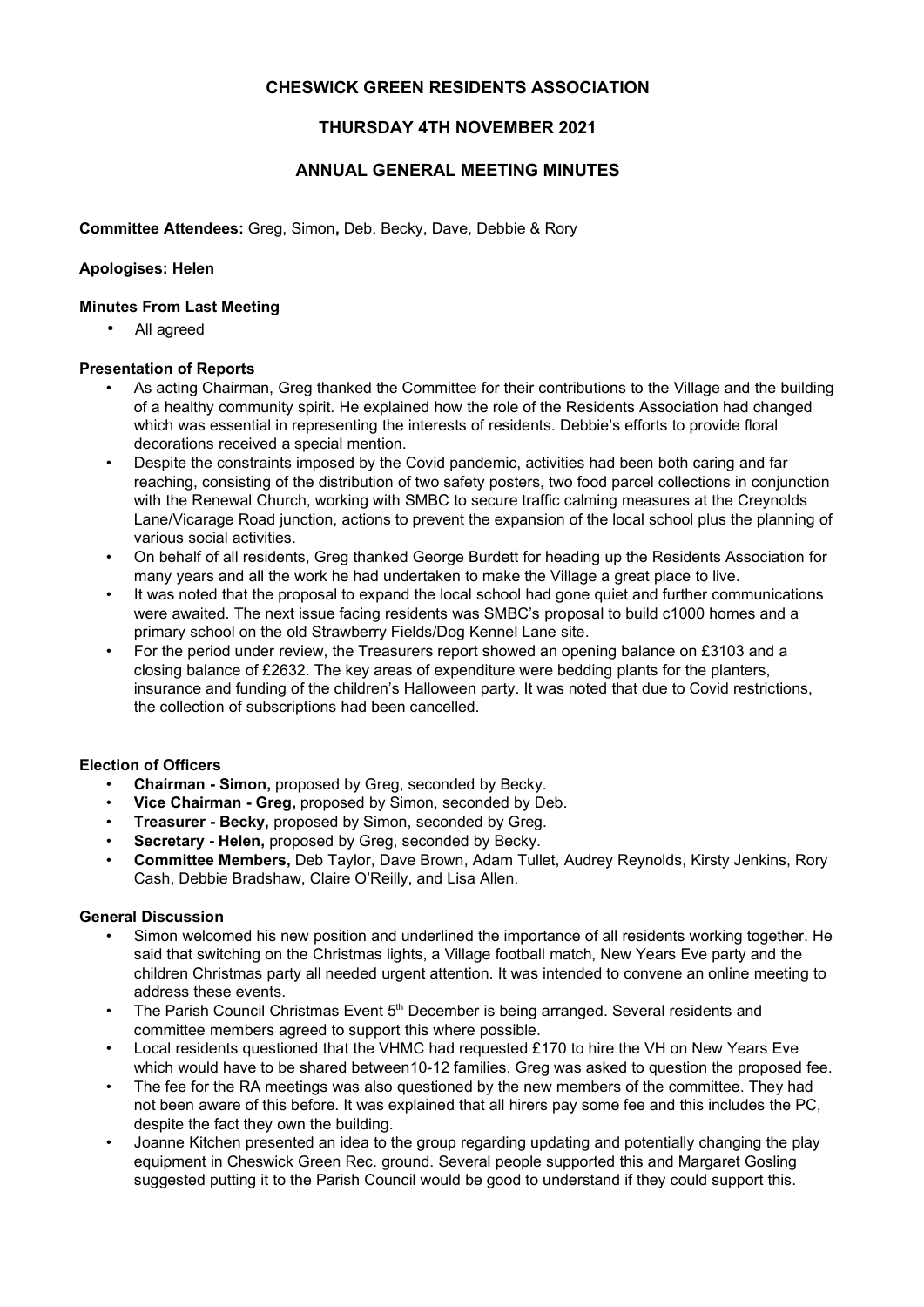# CHESWICK GREEN RESIDENTS ASSOCIATION

# THURSDAY 4TH NOVEMBER 2021

## ANNUAL GENERAL MEETING MINUTES

Committee Attendees: Greg, Simon, Deb, Becky, Dave, Debbie & Rory

#### Apologises: Helen

#### Minutes From Last Meeting

• All agreed

#### Presentation of Reports

- As acting Chairman, Greg thanked the Committee for their contributions to the Village and the building of a healthy community spirit. He explained how the role of the Residents Association had changed which was essential in representing the interests of residents. Debbie's efforts to provide floral decorations received a special mention.
- Despite the constraints imposed by the Covid pandemic, activities had been both caring and far reaching, consisting of the distribution of two safety posters, two food parcel collections in conjunction with the Renewal Church, working with SMBC to secure traffic calming measures at the Creynolds Lane/Vicarage Road junction, actions to prevent the expansion of the local school plus the planning of various social activities.
- On behalf of all residents, Greg thanked George Burdett for heading up the Residents Association for many years and all the work he had undertaken to make the Village a great place to live.
- It was noted that the proposal to expand the local school had gone quiet and further communications were awaited. The next issue facing residents was SMBC's proposal to build c1000 homes and a primary school on the old Strawberry Fields/Dog Kennel Lane site.
- For the period under review, the Treasurers report showed an opening balance on £3103 and a closing balance of £2632. The key areas of expenditure were bedding plants for the planters, insurance and funding of the children's Halloween party. It was noted that due to Covid restrictions, the collection of subscriptions had been cancelled.

## Election of Officers

- Chairman Simon, proposed by Greg, seconded by Becky.
- Vice Chairman Greg, proposed by Simon, seconded by Deb.
- Treasurer Becky, proposed by Simon, seconded by Greg.
- Secretary Helen, proposed by Greg, seconded by Becky.
- Committee Members, Deb Taylor, Dave Brown, Adam Tullet, Audrey Reynolds, Kirsty Jenkins, Rory Cash, Debbie Bradshaw, Claire O'Reilly, and Lisa Allen.

### General Discussion

- Simon welcomed his new position and underlined the importance of all residents working together. He said that switching on the Christmas lights, a Village football match, New Years Eve party and the children Christmas party all needed urgent attention. It was intended to convene an online meeting to address these events.
- The Parish Council Christmas Event  $5<sup>th</sup>$  December is being arranged. Several residents and committee members agreed to support this where possible.
- Local residents questioned that the VHMC had requested £170 to hire the VH on New Years Eve which would have to be shared between10-12 families. Greg was asked to question the proposed fee.
- The fee for the RA meetings was also questioned by the new members of the committee. They had not been aware of this before. It was explained that all hirers pay some fee and this includes the PC, despite the fact they own the building.
- Joanne Kitchen presented an idea to the group regarding updating and potentially changing the play equipment in Cheswick Green Rec. ground. Several people supported this and Margaret Gosling suggested putting it to the Parish Council would be good to understand if they could support this.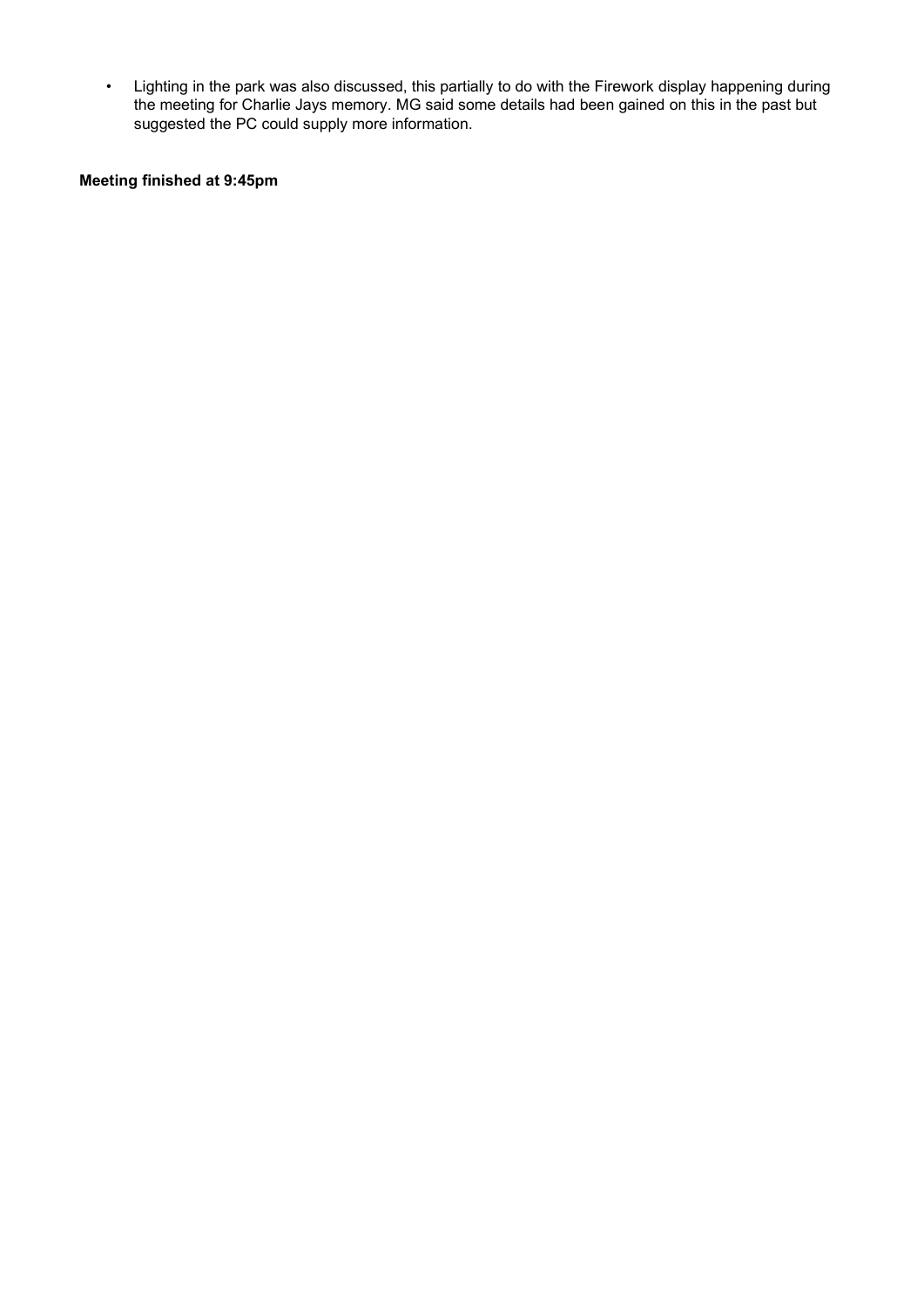• Lighting in the park was also discussed, this partially to do with the Firework display happening during the meeting for Charlie Jays memory. MG said some details had been gained on this in the past but suggested the PC could supply more information.

### Meeting finished at 9:45pm